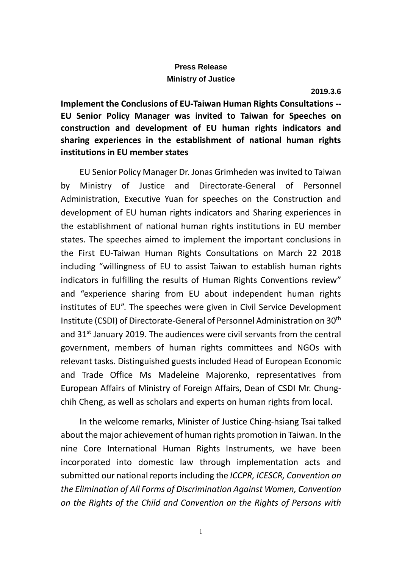## **Press Release Ministry of Justice**

**Implement the Conclusions of EU-Taiwan Human Rights Consultations -- EU Senior Policy Manager was invited to Taiwan for Speeches on construction and development of EU human rights indicators and sharing experiences in the establishment of national human rights institutions in EU member states**

EU Senior Policy Manager Dr. Jonas Grimheden was invited to Taiwan by Ministry of Justice and Directorate-General of Personnel Administration, Executive Yuan for speeches on the Construction and development of EU human rights indicators and Sharing experiences in the establishment of national human rights institutions in EU member states. The speeches aimed to implement the important conclusions in the First EU-Taiwan Human Rights Consultations on March 22 2018 including "willingness of EU to assist Taiwan to establish human rights indicators in fulfilling the results of Human Rights Conventions review" and "experience sharing from EU about independent human rights institutes of EU". The speeches were given in Civil Service Development Institute (CSDI) of Directorate-General of Personnel Administration on 30th and  $31<sup>st</sup>$  January 2019. The audiences were civil servants from the central government, members of human rights committees and NGOs with relevant tasks. Distinguished guests included Head of European Economic and Trade Office Ms Madeleine Majorenko, representatives from European Affairs of Ministry of Foreign Affairs, Dean of CSDI Mr. Chungchih Cheng, as well as scholars and experts on human rights from local.

In the welcome remarks, Minister of Justice Ching-hsiang Tsai talked about the major achievement of human rights promotion in Taiwan. In the nine Core International Human Rights Instruments, we have been incorporated into domestic law through implementation acts and submitted our national reports including the *ICCPR, ICESCR, Convention on the Elimination of All Forms of Discrimination Against Women, Convention on the Rights of the Child and Convention on the Rights of Persons with*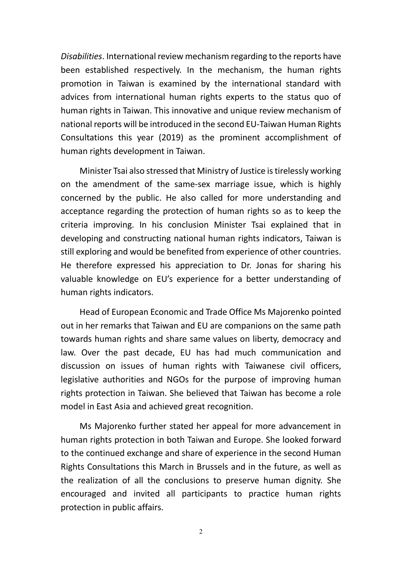*Disabilities*. International review mechanism regarding to the reports have been established respectively. In the mechanism, the human rights promotion in Taiwan is examined by the international standard with advices from international human rights experts to the status quo of human rights in Taiwan. This innovative and unique review mechanism of national reports will be introduced in the second EU-Taiwan Human Rights Consultations this year (2019) as the prominent accomplishment of human rights development in Taiwan.

Minister Tsai also stressed that Ministry of Justice is tirelessly working on the amendment of the same-sex marriage issue, which is highly concerned by the public. He also called for more understanding and acceptance regarding the protection of human rights so as to keep the criteria improving. In his conclusion Minister Tsai explained that in developing and constructing national human rights indicators, Taiwan is still exploring and would be benefited from experience of other countries. He therefore expressed his appreciation to Dr. Jonas for sharing his valuable knowledge on EU's experience for a better understanding of human rights indicators.

Head of European Economic and Trade Office Ms Majorenko pointed out in her remarks that Taiwan and EU are companions on the same path towards human rights and share same values on liberty, democracy and law. Over the past decade, EU has had much communication and discussion on issues of human rights with Taiwanese civil officers, legislative authorities and NGOs for the purpose of improving human rights protection in Taiwan. She believed that Taiwan has become a role model in East Asia and achieved great recognition.

Ms Majorenko further stated her appeal for more advancement in human rights protection in both Taiwan and Europe. She looked forward to the continued exchange and share of experience in the second Human Rights Consultations this March in Brussels and in the future, as well as the realization of all the conclusions to preserve human dignity. She encouraged and invited all participants to practice human rights protection in public affairs.

2